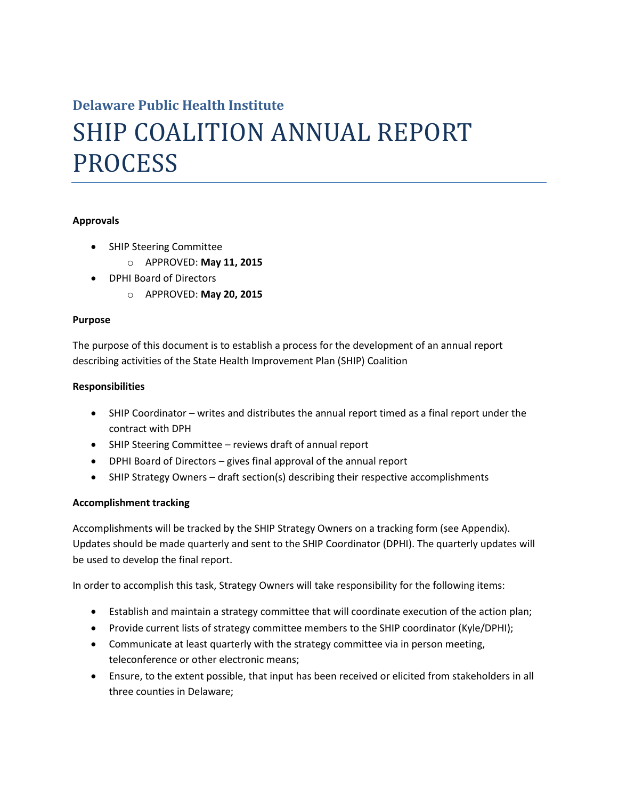# **Delaware Public Health Institute** SHIP COALITION ANNUAL REPORT PROCESS

#### **Approvals**

- SHIP Steering Committee
	- o APPROVED: **May 11, 2015**
- DPHI Board of Directors
	- o APPROVED: **May 20, 2015**

#### **Purpose**

The purpose of this document is to establish a process for the development of an annual report describing activities of the State Health Improvement Plan (SHIP) Coalition

## **Responsibilities**

- SHIP Coordinator writes and distributes the annual report timed as a final report under the contract with DPH
- SHIP Steering Committee reviews draft of annual report
- DPHI Board of Directors gives final approval of the annual report
- SHIP Strategy Owners draft section(s) describing their respective accomplishments

# **Accomplishment tracking**

Accomplishments will be tracked by the SHIP Strategy Owners on a tracking form (see Appendix). Updates should be made quarterly and sent to the SHIP Coordinator (DPHI). The quarterly updates will be used to develop the final report.

In order to accomplish this task, Strategy Owners will take responsibility for the following items:

- Establish and maintain a strategy committee that will coordinate execution of the action plan;
- Provide current lists of strategy committee members to the SHIP coordinator (Kyle/DPHI);
- Communicate at least quarterly with the strategy committee via in person meeting, teleconference or other electronic means;
- Ensure, to the extent possible, that input has been received or elicited from stakeholders in all three counties in Delaware;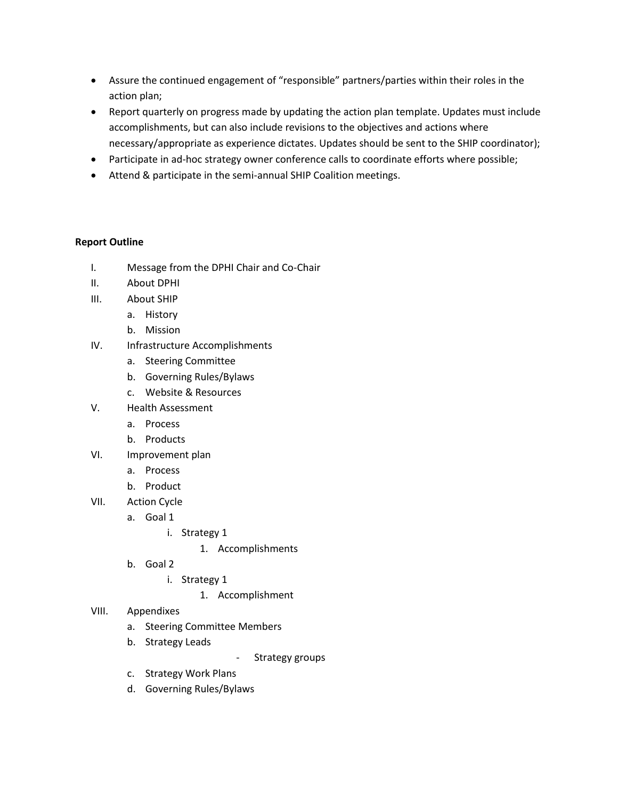- Assure the continued engagement of "responsible" partners/parties within their roles in the action plan;
- Report quarterly on progress made by updating the action plan template. Updates must include accomplishments, but can also include revisions to the objectives and actions where necessary/appropriate as experience dictates. Updates should be sent to the SHIP coordinator);
- Participate in ad-hoc strategy owner conference calls to coordinate efforts where possible;
- Attend & participate in the semi-annual SHIP Coalition meetings.

## **Report Outline**

- I. Message from the DPHI Chair and Co-Chair
- II. About DPHI
- III. About SHIP
	- a. History
	- b. Mission
- IV. Infrastructure Accomplishments
	- a. Steering Committee
	- b. Governing Rules/Bylaws
	- c. Website & Resources
- V. Health Assessment
	- a. Process
	- b. Products
- VI. Improvement plan
	- a. Process
	- b. Product
- VII. Action Cycle
	- a. Goal 1
		- i. Strategy 1
			- 1. Accomplishments
	- b. Goal 2
		- i. Strategy 1
			- 1. Accomplishment
- VIII. Appendixes
	- a. Steering Committee Members
	- b. Strategy Leads
- Strategy groups
- c. Strategy Work Plans
- d. Governing Rules/Bylaws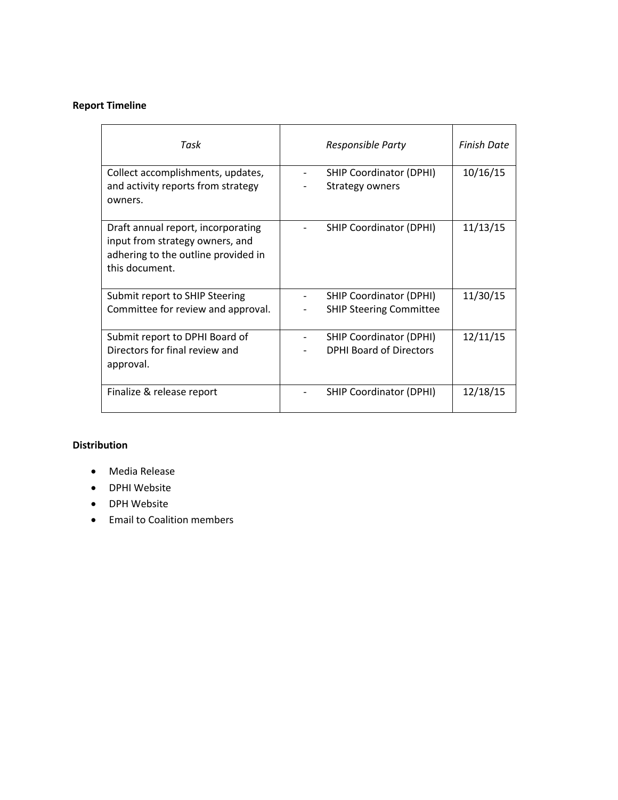## **Report Timeline**

| Task                                                                    |  | <b>Finish Date</b>                                       |          |
|-------------------------------------------------------------------------|--|----------------------------------------------------------|----------|
| Collect accomplishments, updates,<br>and activity reports from strategy |  | <b>SHIP Coordinator (DPHI)</b><br><b>Strategy owners</b> | 10/16/15 |
| owners.                                                                 |  |                                                          |          |
| Draft annual report, incorporating<br>input from strategy owners, and   |  | <b>SHIP Coordinator (DPHI)</b>                           | 11/13/15 |
| adhering to the outline provided in<br>this document.                   |  |                                                          |          |
| Submit report to SHIP Steering                                          |  | <b>SHIP Coordinator (DPHI)</b>                           | 11/30/15 |
| Committee for review and approval.                                      |  | <b>SHIP Steering Committee</b>                           |          |
| Submit report to DPHI Board of                                          |  | <b>SHIP Coordinator (DPHI)</b>                           | 12/11/15 |
| Directors for final review and                                          |  | <b>DPHI Board of Directors</b>                           |          |
| approval.                                                               |  |                                                          |          |
| Finalize & release report                                               |  | <b>SHIP Coordinator (DPHI)</b>                           | 12/18/15 |

# **Distribution**

- Media Release
- DPHI Website
- DPH Website
- Email to Coalition members